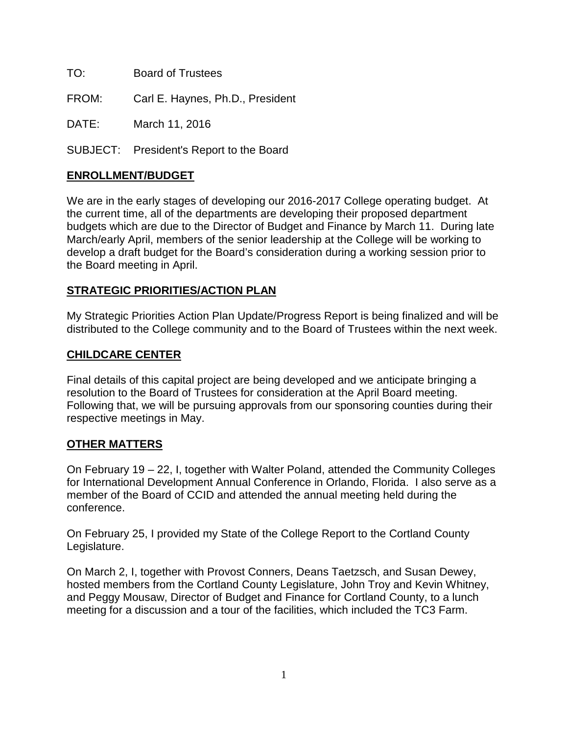TO: Board of Trustees

FROM: Carl E. Haynes, Ph.D., President

DATE: March 11, 2016

SUBJECT: President's Report to the Board

## **ENROLLMENT/BUDGET**

We are in the early stages of developing our 2016-2017 College operating budget. At the current time, all of the departments are developing their proposed department budgets which are due to the Director of Budget and Finance by March 11. During late March/early April, members of the senior leadership at the College will be working to develop a draft budget for the Board's consideration during a working session prior to the Board meeting in April.

## **STRATEGIC PRIORITIES/ACTION PLAN**

My Strategic Priorities Action Plan Update/Progress Report is being finalized and will be distributed to the College community and to the Board of Trustees within the next week.

## **CHILDCARE CENTER**

Final details of this capital project are being developed and we anticipate bringing a resolution to the Board of Trustees for consideration at the April Board meeting. Following that, we will be pursuing approvals from our sponsoring counties during their respective meetings in May.

## **OTHER MATTERS**

On February 19 – 22, I, together with Walter Poland, attended the Community Colleges for International Development Annual Conference in Orlando, Florida. I also serve as a member of the Board of CCID and attended the annual meeting held during the conference.

On February 25, I provided my State of the College Report to the Cortland County Legislature.

On March 2, I, together with Provost Conners, Deans Taetzsch, and Susan Dewey, hosted members from the Cortland County Legislature, John Troy and Kevin Whitney, and Peggy Mousaw, Director of Budget and Finance for Cortland County, to a lunch meeting for a discussion and a tour of the facilities, which included the TC3 Farm.